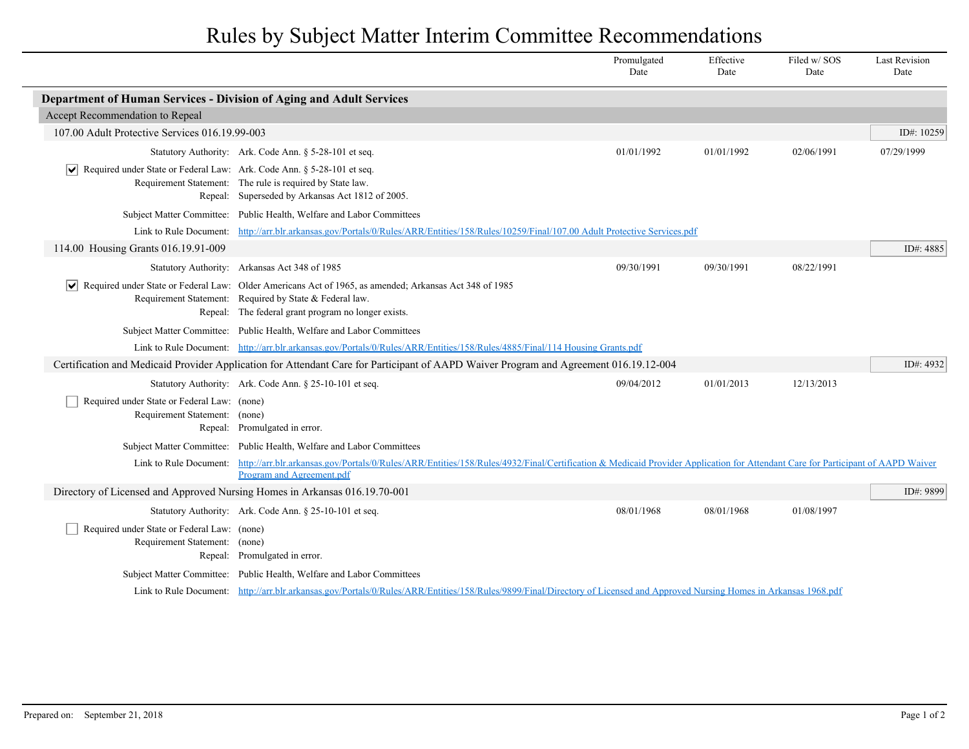## Rules by Subject Matter Interim Committee Recommendations

|                                                                                                                                       |                                                                                                                                                                                                                          | Promulgated<br>Date | Effective<br>Date | Filed w/SOS<br>Date | <b>Last Revision</b><br>Date |  |  |
|---------------------------------------------------------------------------------------------------------------------------------------|--------------------------------------------------------------------------------------------------------------------------------------------------------------------------------------------------------------------------|---------------------|-------------------|---------------------|------------------------------|--|--|
| Department of Human Services - Division of Aging and Adult Services                                                                   |                                                                                                                                                                                                                          |                     |                   |                     |                              |  |  |
| Accept Recommendation to Repeal                                                                                                       |                                                                                                                                                                                                                          |                     |                   |                     |                              |  |  |
| 107.00 Adult Protective Services 016.19.99-003                                                                                        |                                                                                                                                                                                                                          |                     |                   |                     | ID#: 10259                   |  |  |
|                                                                                                                                       | Statutory Authority: Ark. Code Ann. § 5-28-101 et seq.                                                                                                                                                                   | 01/01/1992          | 01/01/1992        | 02/06/1991          | 07/29/1999                   |  |  |
| $ \mathbf{v} $ Required under State or Federal Law: Ark. Code Ann. § 5-28-101 et seq.                                                 | Requirement Statement: The rule is required by State law.<br>Repeal: Superseded by Arkansas Act 1812 of 2005.                                                                                                            |                     |                   |                     |                              |  |  |
|                                                                                                                                       | Subject Matter Committee: Public Health, Welfare and Labor Committees                                                                                                                                                    |                     |                   |                     |                              |  |  |
| Link to Rule Document:                                                                                                                | http://arr.blr.arkansas.gov/Portals/0/Rules/ARR/Entities/158/Rules/10259/Final/107.00 Adult Protective Services.pdf                                                                                                      |                     |                   |                     |                              |  |  |
| 114.00 Housing Grants 016.19.91-009                                                                                                   |                                                                                                                                                                                                                          |                     |                   |                     | ID#: 4885                    |  |  |
|                                                                                                                                       | Statutory Authority: Arkansas Act 348 of 1985                                                                                                                                                                            | 09/30/1991          | 09/30/1991        | 08/22/1991          |                              |  |  |
| VI                                                                                                                                    | Required under State or Federal Law: Older Americans Act of 1965, as amended; Arkansas Act 348 of 1985<br>Requirement Statement: Required by State & Federal law.<br>Repeal: The federal grant program no longer exists. |                     |                   |                     |                              |  |  |
|                                                                                                                                       | Subject Matter Committee: Public Health, Welfare and Labor Committees                                                                                                                                                    |                     |                   |                     |                              |  |  |
|                                                                                                                                       | Link to Rule Document: http://arr.blr.arkansas.gov/Portals/0/Rules/ARR/Entities/158/Rules/4885/Final/114 Housing Grants.pdf                                                                                              |                     |                   |                     |                              |  |  |
| Certification and Medicaid Provider Application for Attendant Care for Participant of AAPD Waiver Program and Agreement 016.19.12-004 |                                                                                                                                                                                                                          |                     |                   |                     |                              |  |  |
|                                                                                                                                       | Statutory Authority: Ark. Code Ann. § 25-10-101 et seq.                                                                                                                                                                  | 09/04/2012          | 01/01/2013        | 12/13/2013          |                              |  |  |
| Required under State or Federal Law: (none)<br>Requirement Statement: (none)                                                          | Repeal: Promulgated in error.                                                                                                                                                                                            |                     |                   |                     |                              |  |  |
|                                                                                                                                       | Subject Matter Committee: Public Health, Welfare and Labor Committees                                                                                                                                                    |                     |                   |                     |                              |  |  |
| Link to Rule Document:                                                                                                                | http://arr.blr.arkansas.gov/Portals/0/Rules/ARR/Entities/158/Rules/4932/Final/Certification & Medicaid Provider Application for Attendant Care for Participant of AAPD Waiver<br>Program and Agreement.pdf               |                     |                   |                     |                              |  |  |
| Directory of Licensed and Approved Nursing Homes in Arkansas 016.19.70-001                                                            |                                                                                                                                                                                                                          |                     |                   |                     | ID#: 9899                    |  |  |
|                                                                                                                                       | Statutory Authority: Ark. Code Ann. § 25-10-101 et seq.                                                                                                                                                                  | 08/01/1968          | 08/01/1968        | 01/08/1997          |                              |  |  |
| Required under State or Federal Law: (none)<br>Requirement Statement: (none)                                                          | Repeal: Promulgated in error.                                                                                                                                                                                            |                     |                   |                     |                              |  |  |
|                                                                                                                                       | Subject Matter Committee: Public Health, Welfare and Labor Committees                                                                                                                                                    |                     |                   |                     |                              |  |  |
|                                                                                                                                       | Link to Rule Document: http://arr.blr.arkansas.gov/Portals/0/Rules/ARR/Entities/158/Rules/9899/Final/Directory of Licensed and Approved Nursing Homes in Arkansas 1968.pdf                                               |                     |                   |                     |                              |  |  |